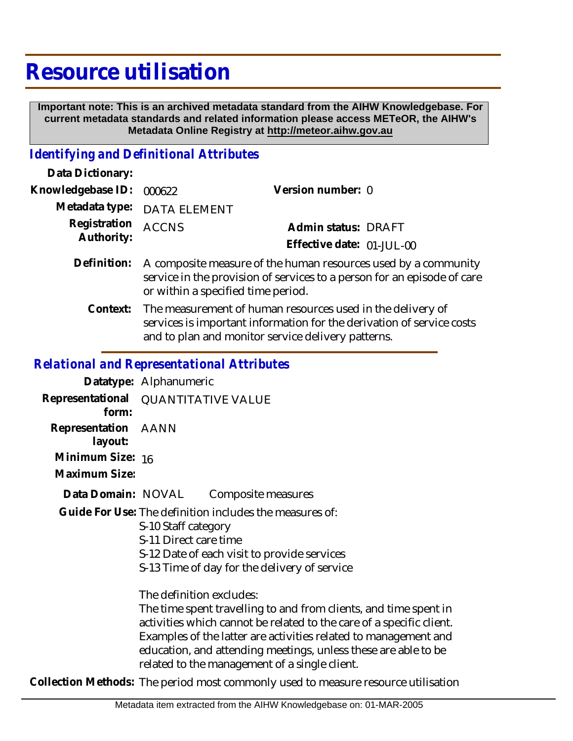## **Resource utilisation**

 **Important note: This is an archived metadata standard from the AIHW Knowledgebase. For current metadata standards and related information please access METeOR, the AIHW's Metadata Online Registry at http://meteor.aihw.gov.au**

## *Identifying and Definitional Attributes*

| Data Dictionary:           |                                                                                                                                                                                 |                           |  |
|----------------------------|---------------------------------------------------------------------------------------------------------------------------------------------------------------------------------|---------------------------|--|
| Knowledgebase ID:          | 000622                                                                                                                                                                          | Version number: 0         |  |
|                            | Metadata type: DATA ELEMENT                                                                                                                                                     |                           |  |
| Registration<br>Authority: | <b>ACCNS</b>                                                                                                                                                                    | Admin status: DRAFT       |  |
|                            |                                                                                                                                                                                 | Effective date: 01-JUL-00 |  |
| Definition:                | A composite measure of the human resources used by a community<br>service in the provision of services to a person for an episode of care<br>or within a specified time period. |                           |  |
|                            |                                                                                                                                                                                 |                           |  |

Context: The measurement of human resources used in the delivery of services is important information for the derivation of service costs and to plan and monitor service delivery patterns.

## *Relational and Representational Attributes*

|                                   | Datatype: Alphanumeric                                                                                                                                                                                                                                                                                                                                     |
|-----------------------------------|------------------------------------------------------------------------------------------------------------------------------------------------------------------------------------------------------------------------------------------------------------------------------------------------------------------------------------------------------------|
| form:                             | Representational QUANTITATIVE VALUE                                                                                                                                                                                                                                                                                                                        |
| Representation AANN<br>layout:    |                                                                                                                                                                                                                                                                                                                                                            |
| Minimum Size: 16<br>Maximum Size: |                                                                                                                                                                                                                                                                                                                                                            |
| Data Domain: NOVAL                | Composite measures                                                                                                                                                                                                                                                                                                                                         |
|                                   | Guide For Use: The definition includes the measures of:<br>S-10 Staff category<br>S-11 Direct care time<br>S-12 Date of each visit to provide services<br>S-13 Time of day for the delivery of service                                                                                                                                                     |
|                                   | The definition excludes:<br>The time spent travelling to and from clients, and time spent in<br>activities which cannot be related to the care of a specific client.<br>Examples of the latter are activities related to management and<br>education, and attending meetings, unless these are able to be<br>related to the management of a single client. |
|                                   | Collection Methods: The period most commonly used to measure resource utilisation                                                                                                                                                                                                                                                                          |